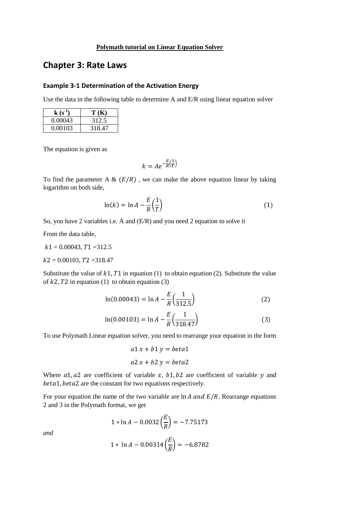## **Polymath tutorial on Linear Equation Solver**

## **Chapter 3: Rate Laws**

## **Example 3-1 Determination of the Activation Energy**

Use the data in the following table to determine A and E/R using linear equation solver

| $k(s^{-1})$ | T(K)   |
|-------------|--------|
| 0.00043     | 312.5  |
| 0.00103     | 318.47 |

The equation is given as

$$
k = Ae^{-\frac{E}{R}(\frac{1}{T})}
$$

To find the parameter A &  $(E/R)$ , we can make the above equation linear by taking logarithm on both side,

$$
\ln(k) = \ln A - \frac{E}{R} \left(\frac{1}{T}\right) \tag{1}
$$

So, you have 2 variables i.e. A and (E/R) and you need 2 equation to solve it

From the data table,

 $k1 = 0.00043$ ,  $T1 = 312.5$ 

 $k2 = 0.00103$ ,  $T2 = 318.47$ 

Substitute the value of  $k1$ ,  $T1$  in equation (1) to obtain equation (2). Substitute the value of  $k2$ ,  $T2$  in equation (1) to obtain equation (3)

$$
\ln(0.00043) = \ln A - \frac{E}{R} \left(\frac{1}{312.5}\right) \tag{2}
$$

$$
\ln(0.00103) = \ln A - \frac{E}{R} \left(\frac{1}{318.47}\right)
$$
 (3)

To use Polymath Linear equation solver, you need to rearrange your equation in the form

$$
a1 x + b1 y = beta1
$$

$$
a2 x + b2 y = beta2
$$

Where  $a1$ ,  $a2$  are coefficient of variable x,  $b1$ ,  $b2$  are coefficient of variable y and beta1, beta2 are the constant for two equations respectively.

For your equation the name of the two variable are  $\ln A$  and  $E/R$ . Rearrange equations 2 and 3 in the Polymath format, we get

$$
1 * \ln A - 0.0032 \left(\frac{E}{R}\right) = -7.75173
$$

*and*

$$
1 * \ln A - 0.00314 \left(\frac{E}{R}\right) = -6.8782
$$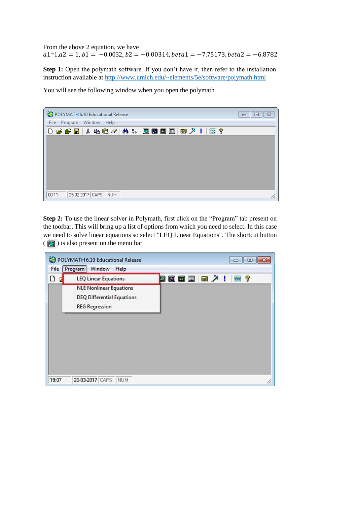From the above 2 equation, we have  $a1=1, a2 = 1, b1 = -0.0032, b2 = -0.00314, beta1 = -7.75173, beta2 = -6.8782$ 

**Step 1:** Open the polymath software. If you don't have it, then refer to the installation instruction available at<http://www.umich.edu/~elements/5e/software/polymath.html>

You will see the following window when you open the polymath

| POLYMATH 6.10 Educational Release     | $\Box$ math> |
|---------------------------------------|--------------|
| Program Window Help<br>File           |              |
| 0 プチ目 * もさ/ A & B B B B   B X !   # ? |              |
|                                       |              |
|                                       |              |
|                                       |              |
|                                       |              |
|                                       |              |
|                                       |              |
| 25-02-2017 CAPS NUM<br>00:11          | /i.          |

**Step 2:** To use the linear solver in Polymath, first click on the "Program" tab present on the toolbar. This will bring up a list of options from which you need to select. In this case we need to solve linear equations so select "LEQ Linear Equations". The shortcut button  $\left( \sqrt{\mathbf{z}} \right)$  is also present on the menu bar

|        | POLYMATH 6.10 Educational Release                                                            |                               | $\Box$<br>Ō |
|--------|----------------------------------------------------------------------------------------------|-------------------------------|-------------|
| File   | Program<br>Window<br>Help                                                                    |                               |             |
| ₿<br>p | <b>LEQ Linear Equations</b>                                                                  | $\mathbb{R}$ $\lambda$ !<br>Ø | 霊?          |
|        | <b>NLE Nonlinear Equations</b><br><b>DEQ Differential Equations</b><br><b>REG Regression</b> |                               |             |
|        |                                                                                              |                               |             |
|        |                                                                                              |                               |             |
|        |                                                                                              |                               |             |
|        |                                                                                              |                               |             |
| 19:07  | 20-03-2017 CAPS NUM                                                                          |                               | h.          |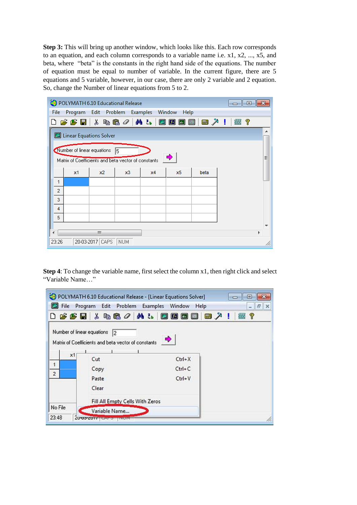**Step 3:** This will bring up another window, which looks like this. Each row corresponds to an equation, and each column corresponds to a variable name i.e. x1, x2, ..., x5, and beta, where "beta" is the constants in the right hand side of the equations. The number of equation must be equal to number of variable. In the current figure, there are 5 equations and 5 variable, however, in our case, there are only 2 variable and 2 equation. So, change the Number of linear equations from 5 to 2.

| Edit<br>Problem Examples Window<br>File<br>Program<br>Help<br>0 <del>2 2 5</del> 5 % & 6 <i>0</i>   A &   2 0 0 0 1<br>■ ↗ !<br>垂?<br>Linear Equations Solver<br>Number of linear equations<br>15.<br>♣<br>Ξ<br>Matrix of Coefficients and beta vector of constants<br>x3<br>beta<br>x1<br>x2<br>x4<br>x5<br>1<br>$\overline{2}$<br>3<br>4 | POLYMATH 6.10 Educational Release<br>o<br>$\Box$ |  |  |  |  |  |  |  |
|--------------------------------------------------------------------------------------------------------------------------------------------------------------------------------------------------------------------------------------------------------------------------------------------------------------------------------------------|--------------------------------------------------|--|--|--|--|--|--|--|
|                                                                                                                                                                                                                                                                                                                                            |                                                  |  |  |  |  |  |  |  |
|                                                                                                                                                                                                                                                                                                                                            |                                                  |  |  |  |  |  |  |  |
|                                                                                                                                                                                                                                                                                                                                            |                                                  |  |  |  |  |  |  |  |
|                                                                                                                                                                                                                                                                                                                                            |                                                  |  |  |  |  |  |  |  |
|                                                                                                                                                                                                                                                                                                                                            |                                                  |  |  |  |  |  |  |  |
|                                                                                                                                                                                                                                                                                                                                            |                                                  |  |  |  |  |  |  |  |
|                                                                                                                                                                                                                                                                                                                                            |                                                  |  |  |  |  |  |  |  |
|                                                                                                                                                                                                                                                                                                                                            |                                                  |  |  |  |  |  |  |  |
|                                                                                                                                                                                                                                                                                                                                            |                                                  |  |  |  |  |  |  |  |
|                                                                                                                                                                                                                                                                                                                                            |                                                  |  |  |  |  |  |  |  |
|                                                                                                                                                                                                                                                                                                                                            |                                                  |  |  |  |  |  |  |  |
|                                                                                                                                                                                                                                                                                                                                            | 5                                                |  |  |  |  |  |  |  |
| Ш<br>Þ                                                                                                                                                                                                                                                                                                                                     |                                                  |  |  |  |  |  |  |  |
| 20-03-2017 CAPS<br>23:26<br><b>NUM</b>                                                                                                                                                                                                                                                                                                     |                                                  |  |  |  |  |  |  |  |

**Step 4**: To change the variable name, first select the column x1, then right click and select "Variable Name…"

| File           | POLYMATH 6.10 Educational Release - [Linear Equations Solver]<br>Edit Problem Examples Window<br>Program | Help       | ▣              | EX |
|----------------|----------------------------------------------------------------------------------------------------------|------------|----------------|----|
|                | 0 <del>6 6 5</del> 6 % 4 6 <i>0 1</i> 4 % 5 0 0 0 0                                                      |            | ୃବ<br>■メ!<br>靈 |    |
|                | Number of linear equations 2<br>Matrix of Coefficients and beta vector of constants                      | ◆          |                |    |
| x1             |                                                                                                          |            |                |    |
| $\overline{1}$ | Cut                                                                                                      | $Ctrl+X$   |                |    |
| $\overline{2}$ | Copy                                                                                                     | $Ctrl + C$ |                |    |
|                | Paste<br>Clear                                                                                           | $Ctrl+V$   |                |    |
|                | Fill All Empty Cells With Zeros                                                                          |            |                |    |
| No File        | Variable Name                                                                                            |            |                |    |
| 23:48          | 2000-2017 LAT 3 THUM                                                                                     |            |                |    |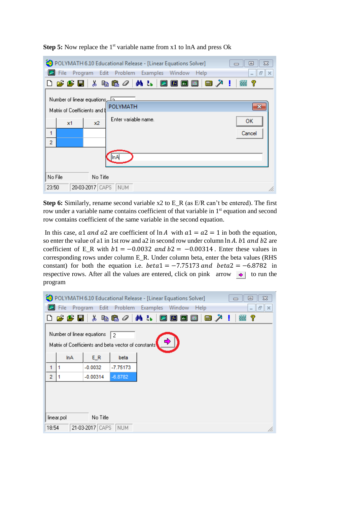|                                                                        | POLYMATH 6.10 Educational Release - [Linear Equations Solver] | $\Sigma$<br>$\blacksquare$               |  |  |
|------------------------------------------------------------------------|---------------------------------------------------------------|------------------------------------------|--|--|
| Program Edit Problem<br>File                                           | Examples Window Help                                          | $F$ $\times$<br>$\overline{\phantom{0}}$ |  |  |
|                                                                        | 0 2 2 5 5 % & 6 4 / 4 % 1 0 0 0 0 0<br>■ 人!                   | 垂?                                       |  |  |
| <u>A Number of linear equations اح</u><br>Matrix of Coefficients and b | POLYMATH                                                      | x                                        |  |  |
| Enter variable name.<br>ок<br>x1<br>x2                                 |                                                               |                                          |  |  |
| Cancel<br>1<br>$\overline{2}$                                          |                                                               |                                          |  |  |
|                                                                        | ∥nA                                                           |                                          |  |  |
| No File<br>No Title                                                    |                                                               |                                          |  |  |
| 20-03-2017 CAPS<br>23:50                                               | NUM                                                           | /i.                                      |  |  |

**Step 5:** Now replace the 1<sup>st</sup> variable name from x1 to lnA and press Ok

**Step 6:** Similarly, rename second variable x2 to E\_R (as E/R can't be entered). The first row under a variable name contains coefficient of that variable in 1<sup>st</sup> equation and second row contains coefficient of the same variable in the second equation.

In this case, a1 and a2 are coefficient of  $\ln A$  with  $a1 = a2 = 1$  in both the equation, so enter the value of a1 in 1st row and a2 in second row under column  $\ln A$ . b1 and b2 are coefficient of E\_R with  $b1 = -0.0032$  and  $b2 = -0.00314$ . Enter these values in corresponding rows under column E\_R. Under column beta, enter the beta values (RHS constant) for both the equation i.e.  $beta = -7.75173$  and  $beta = -6.8782$  in respective rows. After all the values are entered, click on pink arrow  $\rightarrow$  to run the program

|                | POLYMATH 6.10 Educational Release - [Linear Equations Solver]<br>$^{22}$<br> ⊟                       |            |                                                     |                                                  |  |  |
|----------------|------------------------------------------------------------------------------------------------------|------------|-----------------------------------------------------|--------------------------------------------------|--|--|
|                | File<br>Edit Problem<br>Examples Window<br>Program<br>Help<br>$F \times$<br>$\overline{\phantom{a}}$ |            |                                                     |                                                  |  |  |
|                | 0 2 £ 8 1                                                                                            |            |                                                     | 人名 <sup>。 2</sup> 2 A & 2 2 8 8 8 8<br>■↗!<br>垂? |  |  |
|                | Number of linear equations<br>12                                                                     |            |                                                     |                                                  |  |  |
|                |                                                                                                      |            | Matrix of Coefficients and beta vector of constants | ➾                                                |  |  |
|                | <b>InA</b>                                                                                           | $E_R$      | beta                                                |                                                  |  |  |
| 1              |                                                                                                      | $-0.0032$  | $-7.75173$                                          |                                                  |  |  |
| $\overline{2}$ |                                                                                                      | $-0.00314$ | $-6.8782$                                           |                                                  |  |  |
|                |                                                                                                      |            |                                                     |                                                  |  |  |
|                |                                                                                                      |            |                                                     |                                                  |  |  |
|                |                                                                                                      |            |                                                     |                                                  |  |  |
|                | No Title<br>linear.pol                                                                               |            |                                                     |                                                  |  |  |
|                | 21-03-2017 CAPS<br><b>NUM</b><br>18:54<br>11.                                                        |            |                                                     |                                                  |  |  |